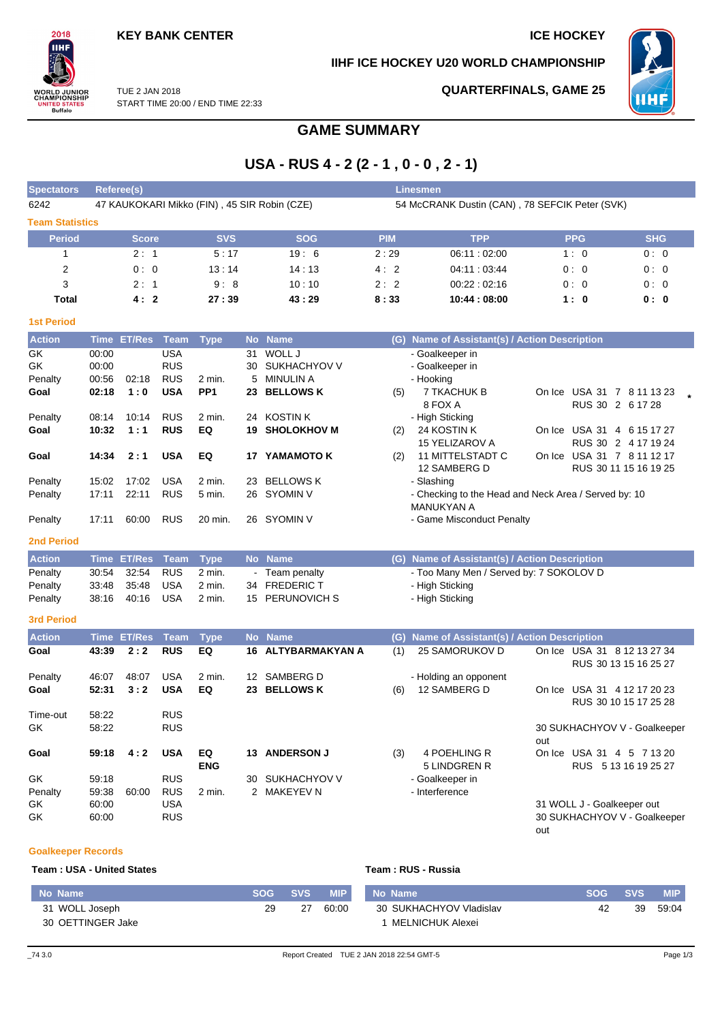## **IIHF ICE HOCKEY U20 WORLD CHAMPIONSHIP**



TUE 2 JAN 2018 START TIME 20:00 / END TIME 22:33

## **QUARTERFINALS, GAME 25**



# **GAME SUMMARY**

# **USA - RUS 4 - 2 (2 - 1 , 0 - 0 , 2 - 1)**

| <b>Spectators</b>      | Referee(s)                                   |            |            | <b>Linesmen</b> |                                                |            |            |
|------------------------|----------------------------------------------|------------|------------|-----------------|------------------------------------------------|------------|------------|
| 6242                   | 47 KAUKOKARI Mikko (FIN), 45 SIR Robin (CZE) |            |            |                 | 54 McCRANK Dustin (CAN), 78 SEFCIK Peter (SVK) |            |            |
| <b>Team Statistics</b> |                                              |            |            |                 |                                                |            |            |
| <b>Period</b>          | <b>Score</b>                                 | <b>SVS</b> | <b>SOG</b> | <b>PIM</b>      | <b>TPP</b>                                     | <b>PPG</b> | <b>SHG</b> |
|                        | 2:1                                          | 5:17       | 19:6       | 2:29            | 06:11 : 02:00                                  | 1:0        | 0:0        |
| 2                      | 0:0                                          | 13:14      | 14:13      | 4:2             | 04:11 : 03:44                                  | 0:0        | 0:0        |
| 3                      | 2:1                                          | 9:8        | 10:10      | 2:2             | 00:22:02:16                                    | 0:0        | 0:0        |
| Total                  | 4:2                                          | 27:39      | 43:29      | 8:33            | 10:44:08:00                                    | 1:0        | 0: 0       |

| ۳ |    |        |     |  |
|---|----|--------|-----|--|
|   | __ | $\sim$ | - 3 |  |
|   |    |        |     |  |

| <b>Action</b> |       | Time ET/Res | Team Type  |                 | <b>No</b> | <b>Name</b>        |     | (G) Name of Assistant(s) / Action Description        |                     |                       |  |
|---------------|-------|-------------|------------|-----------------|-----------|--------------------|-----|------------------------------------------------------|---------------------|-----------------------|--|
| GK            | 00:00 |             | USA        |                 | 31        | WOLL J             |     | - Goalkeeper in                                      |                     |                       |  |
| GK            | 00:00 |             | <b>RUS</b> |                 | 30        | SUKHACHYOV V       |     | - Goalkeeper in                                      |                     |                       |  |
| Penalty       | 00:56 | 02:18       | <b>RUS</b> | $2$ min.        | 5.        | MINULIN A          |     | - Hooking                                            |                     |                       |  |
| Goal          | 02:18 | 1:0         | <b>USA</b> | PP <sub>1</sub> | 23        | <b>BELLOWS K</b>   | (5) | 7 TKACHUK B<br>On Ice                                | USA 31              | 7 8 11 13 23          |  |
|               |       |             |            |                 |           |                    |     | 8 FOX A                                              | RUS 30 2 6 17 28    |                       |  |
| Penalty       | 08:14 | 10:14       | <b>RUS</b> | 2 min.          | 24        | KOSTIN K           |     | - High Sticking                                      |                     |                       |  |
| Goal          | 10:32 | 1:1         | <b>RUS</b> | EQ              | 19.       | <b>SHOLOKHOV M</b> | (2) | 24 KOSTIN K<br>On Ice                                | <b>USA 31</b>       | 4 6 15 17 27          |  |
|               |       |             |            |                 |           |                    |     | <b>15 YELIZAROV A</b>                                | <b>RUS 30</b>       | 2 4 17 19 24          |  |
| Goal          | 14:34 | 2:1         | <b>USA</b> | EQ              | 17        | YAMAMOTO K         | (2) | 11 MITTELSTADT C<br>On Ice                           | USA 31 7 8 11 12 17 |                       |  |
|               |       |             |            |                 |           |                    |     | 12 SAMBERG D                                         |                     | RUS 30 11 15 16 19 25 |  |
| Penalty       | 15:02 | 17:02       | <b>USA</b> | 2 min.          | 23.       | <b>BELLOWS K</b>   |     | - Slashing                                           |                     |                       |  |
| Penalty       | 17:11 | 22:11       | <b>RUS</b> | 5 min.          |           | 26 SYOMIN V        |     | - Checking to the Head and Neck Area / Served by: 10 |                     |                       |  |
|               |       |             |            |                 |           |                    |     | <b>MANUKYAN A</b>                                    |                     |                       |  |
| Penalty       | 17:11 | 60:00       | <b>RUS</b> | 20 min.         | 26        | SYOMIN V           |     | - Game Misconduct Penalty                            |                     |                       |  |

#### **2nd Period**

| <b>Action</b> | Time ET/Res Team Type |     |        | ⊾ No Name '     | (G) Name of Assistant(s) / Action Description |
|---------------|-----------------------|-----|--------|-----------------|-----------------------------------------------|
| Penalty       | 30:54 32:54 RUS       |     | 2 min. | Team penalty    | - Too Many Men / Served by: 7 SOKOLOV D       |
| Penalty       | 33:48 35:48 USA       |     | 2 min. | 34 FREDERIC T   | - High Sticking                               |
| Penalty       | 38:16 40:16           | USA | 2 min. | 15 PERUNOVICH S | - High Sticking                               |

### **3rd Period**

| <b>Action</b> | <b>Time</b> | <b>ET/Res</b> | Team       | <b>Type</b> |                 | No Name           |     | (G) Name of Assistant(s) / Action Description |        |                                |
|---------------|-------------|---------------|------------|-------------|-----------------|-------------------|-----|-----------------------------------------------|--------|--------------------------------|
| Goal          | 43:39       | 2:2           | <b>RUS</b> | EQ          | 16              | ALTYBARMAKYAN A   | (1) | 25 SAMORUKOV D                                | On Ice | USA 31 8 12 13 27 34           |
|               |             |               |            |             |                 |                   |     |                                               |        | RUS 30 13 15 16 25 27          |
| Penalty       | 46:07       | 48:07         | <b>USA</b> | $2$ min.    | 12 <sup>°</sup> | SAMBERG D         |     | - Holding an opponent                         |        |                                |
| Goal          | 52:31       | 3:2           | <b>USA</b> | EQ          | 23.             | <b>BELLOWS K</b>  | (6) | 12 SAMBERG D                                  | On Ice | USA 31 4 12 17 20 23           |
|               |             |               |            |             |                 |                   |     |                                               |        | RUS 30 10 15 17 25 28          |
| Time-out      | 58:22       |               | <b>RUS</b> |             |                 |                   |     |                                               |        |                                |
| GK            | 58.22       |               | <b>RUS</b> |             |                 |                   |     |                                               |        | 30 SUKHACHYOV V - Goalkeeper   |
|               |             |               |            |             |                 |                   |     |                                               | out    |                                |
| Goal          | 59:18       | 4:2           | <b>USA</b> | EQ          | 13              | <b>ANDERSON J</b> | (3) | 4 POEHLING R                                  | On Ice | USA 31<br>4 5 7 13 20          |
|               |             |               |            | <b>ENG</b>  |                 |                   |     | 5 LINDGREN R                                  |        | 5 13 16 19 25 27<br><b>RUS</b> |
| GK            | 59.18       |               | <b>RUS</b> |             | 30              | SUKHACHYOV V      |     | - Goalkeeper in                               |        |                                |
| Penalty       | 59:38       | 60:00         | <b>RUS</b> | 2 min.      | 2               | MAKEYEV N         |     | - Interference                                |        |                                |
| GK.           | 60:00       |               | <b>USA</b> |             |                 |                   |     |                                               |        | 31 WOLL J - Goalkeeper out     |
| GK            | 60:00       |               | <b>RUS</b> |             |                 |                   |     |                                               |        | 30 SUKHACHYOV V - Goalkeeper   |

**Goalkeeper Records**

### **Team : USA - United States Team : RUS - Russia**

out

| Mo Name           | <b>SOG</b> | SVS / | <b>MIP</b> | No Name                 | <b>SOG</b> | <b>SVS</b> | MIP   |
|-------------------|------------|-------|------------|-------------------------|------------|------------|-------|
| 31 WOLL Joseph    | 29         | 27    | 60:00      | 30 SUKHACHYOV Vladislav | 42         | 39         | 59:04 |
| 30 OETTINGER Jake |            |       |            | MELNICHUK Alexei        |            |            |       |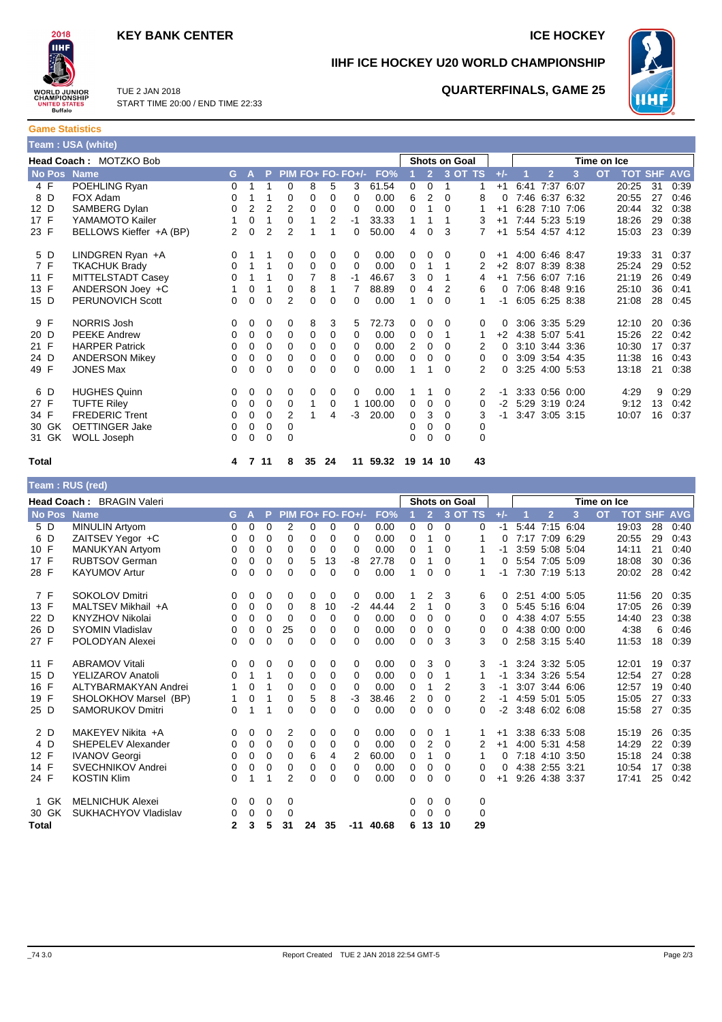# **KEY BANK CENTER ICE HOCKEY**



**IIHF ICE HOCKEY U20 WORLD CHAMPIONSHIP**



TUE 2 JAN 2018 START TIME 20:00 / END TIME 22:33

## **QUARTERFINALS, GAME 25**

**Game Statistics Team : USA (white)**

|              | Head Coach: MOTZKO Bob  |    |          |                |                |          |    |                   |          |   |                | <b>Shots on Goal</b> |                |          |      |                |                | Time on Ice |                |    |            |
|--------------|-------------------------|----|----------|----------------|----------------|----------|----|-------------------|----------|---|----------------|----------------------|----------------|----------|------|----------------|----------------|-------------|----------------|----|------------|
| No Pos Name  |                         | G. | A        | P.             |                |          |    | PIM FO+ FO- FO+/- | FO%      |   | $\overline{2}$ |                      | 3 OT TS        | $+/-$    |      | $\overline{2}$ | 3              | <b>OT</b>   | <b>TOT SHF</b> |    | <b>AVG</b> |
| 4 F          | POEHLING Ryan           | 0  |          | 1              | $\Omega$       | 8        | 5  | 3                 | 61.54    | 0 | $\Omega$       | 1                    |                | $+1$     | 6:41 | 7:37 6:07      |                |             | 20:25          | 31 | 0:39       |
| 8 D          | FOX Adam                | 0  |          |                | $\mathbf 0$    | 0        | 0  | 0                 | 0.00     | 6 | 2              | $\Omega$             | 8              | $\Omega$ |      | 7:46 6:37 6:32 |                |             | 20:55          | 27 | 0:46       |
| 12 D         | SAMBERG Dylan           | 0  | 2        | $\overline{2}$ | $\overline{2}$ | 0        | 0  | 0                 | 0.00     | 0 |                | $\Omega$             |                | $+1$     |      |                | 6:28 7:10 7:06 |             | 20:44          | 32 | 0:38       |
| 17 F         | YAMAMOTO Kailer         |    | 0        | 1              | 0              |          | 2  | $-1$              | 33.33    | 1 |                |                      | 3              | $+1$     |      | 7:44 5:23 5:19 |                |             | 18:26          | 29 | 0:38       |
| 23 F         | BELLOWS Kieffer +A (BP) | 2  | $\Omega$ | $\overline{2}$ | $\overline{2}$ |          |    | 0                 | 50.00    | 4 | 0              | 3                    | $\overline{7}$ | $+1$     |      |                | 5:54 4:57 4:12 |             | 15:03          | 23 | 0:39       |
| 5 D          | LINDGREN Ryan +A        | 0  |          |                | 0              | 0        | 0  | 0                 | 0.00     | 0 | 0              | $\Omega$             | 0              | $+1$     |      | 4:00 6:46 8:47 |                |             | 19:33          | 31 | 0:37       |
| 7 F          | <b>TKACHUK Brady</b>    | 0  |          | 1              | 0              | 0        | 0  | 0                 | 0.00     | 0 |                |                      | 2              | $+2$     |      |                | 8:07 8:39 8:38 |             | 25:24          | 29 | 0:52       |
| 11 F         | MITTELSTADT Casey       | 0  |          | 1              | 0              | 7        | 8  | $-1$              | 46.67    | 3 | 0              |                      | 4              | $+1$     |      |                | 7:56 6:07 7:16 |             | 21:19          | 26 | 0:49       |
| 13 F         | ANDERSON Joey +C        |    | 0        | 1              | 0              | 8        |    | 7                 | 88.89    | 0 | 4              | 2                    | 6              |          |      |                | 7:06 8:48 9:16 |             | 25:10          | 36 | 0:41       |
| 15 D         | PERUNOVICH Scott        | 0  | 0        | 0              | $\overline{2}$ | $\Omega$ | 0  | 0                 | 0.00     | 1 | 0              | $\Omega$             | 1              | $-1$     |      |                | 6:05 6:25 8:38 |             | 21:08          | 28 | 0:45       |
| 9 F          | <b>NORRIS Josh</b>      | 0  | 0        | 0              | 0              | 8        | 3  | 5                 | 72.73    | 0 | 0              | 0                    | 0              |          |      | 3:06 3:35 5:29 |                |             | 12:10          | 20 | 0:36       |
| 20 D         | <b>PEEKE Andrew</b>     | 0  | 0        | 0              | 0              | 0        | 0  | 0                 | 0.00     | 0 | 0              |                      | 1              | $+2$     |      | 4:38 5:07 5:41 |                |             | 15:26          | 22 | 0:42       |
| 21 F         | <b>HARPER Patrick</b>   | 0  | 0        | 0              | $\mathbf 0$    | 0        | 0  | 0                 | 0.00     | 2 | 0              | 0                    | 2              | 0        |      | 3:10 3:44 3:36 |                |             | 10:30          | 17 | 0:37       |
| 24 D         | <b>ANDERSON Mikey</b>   | 0  | 0        | 0              | 0              | 0        | 0  | 0                 | 0.00     | 0 | 0              | 0                    | 0              | 0        |      |                | 3:09 3:54 4:35 |             | 11:38          | 16 | 0:43       |
| 49 F         | <b>JONES Max</b>        | 0  | 0        | $\Omega$       | $\Omega$       | $\Omega$ | 0  | 0                 | 0.00     | 4 |                | $\Omega$             | 2              | 0        |      |                | 3:25 4:00 5:53 |             | 13:18          | 21 | 0:38       |
| 6 D          | <b>HUGHES Quinn</b>     | 0  | 0        | 0              | 0              | 0        | 0  | 0                 | 0.00     |   |                | $\Omega$             | 2              | -1       |      | 3:33 0:56 0:00 |                |             | 4:29           | 9  | 0:29       |
| 27 F         | <b>TUFTE Riley</b>      | 0  | 0        | 0              | 0              |          | 0  | 1                 | 100.00   | 0 | 0              | $\mathbf 0$          | 0              | $-2$     |      |                | 5:29 3:19 0:24 |             | 9:12           | 13 | 0:42       |
| 34 F         | <b>FREDERIC Trent</b>   | 0  | 0        | $\mathbf 0$    | $\overline{2}$ | 1        | 4  | $-3$              | 20.00    | 0 | 3              | 0                    | 3              | $-1$     |      |                | 3:47 3:05 3:15 |             | 10:07          | 16 | 0:37       |
| 30 GK        | <b>OETTINGER Jake</b>   | 0  | 0        | 0              | 0              |          |    |                   |          | 0 | 0              | $\Omega$             | 0              |          |      |                |                |             |                |    |            |
| 31 GK        | WOLL Joseph             | 0  | 0        | 0              | $\mathbf 0$    |          |    |                   |          | 0 | 0              | 0                    | $\mathbf 0$    |          |      |                |                |             |                |    |            |
| <b>Total</b> |                         | 4  | 7.11     |                | 8              | 35       | 24 |                   | 11 59.32 |   | 19 14 10       |                      | 43             |          |      |                |                |             |                |    |            |

| Team: RUS (red) |                           |          |              |   |             |          |             |                   |       |          |                |          |                      |       |                |      |             |                |    |            |
|-----------------|---------------------------|----------|--------------|---|-------------|----------|-------------|-------------------|-------|----------|----------------|----------|----------------------|-------|----------------|------|-------------|----------------|----|------------|
|                 | Head Coach: BRAGIN Valeri |          |              |   |             |          |             |                   |       |          |                |          | <b>Shots on Goal</b> |       |                |      | Time on Ice |                |    |            |
| No Pos          | <b>Name</b>               | G.       | $\mathbf{A}$ | P |             |          |             | PIM FO+ FO- FO+/- | FO%   |          | $\overline{2}$ |          | 3 OT TS              | $+/-$ | $\overline{2}$ | 3    | <b>OT</b>   | <b>TOT SHF</b> |    | <b>AVG</b> |
| 5 D             | <b>MINULIN Artyom</b>     | 0        | 0            | 0 | 2           | 0        | 0           | 0                 | 0.00  | 0        | 0              | 0        | 0                    | $-1$  | 5:44 7:15 6:04 |      |             | 19:03          | 28 | 0:40       |
| 6<br>D          | ZAITSEV Yegor +C          | 0        | 0            | 0 | 0           | 0        | 0           | 0                 | 0.00  | 0        | 1              | 0        | 1                    | 0     | 7:17 7:09 6:29 |      |             | 20:55          | 29 | 0:43       |
| 10 F            | <b>MANUKYAN Artyom</b>    | 0        | 0            | 0 | 0           | 0        | 0           | 0                 | 0.00  | 0        |                | 0        |                      | -1    | 3:59 5:08 5:04 |      |             | 14:11          | 21 | 0:40       |
| 17 F            | <b>RUBTSOV German</b>     | 0        | 0            | 0 | 0           | 5        | 13          | -8                | 27.78 | 0        | 1              | 0        | 1                    | 0     | 5:54 7:05 5:09 |      |             | 18:08          | 30 | 0:36       |
| 28 F            | <b>KAYUMOV Artur</b>      | 0        | $\mathbf 0$  | 0 | 0           | 0        | $\Omega$    | 0                 | 0.00  | 1        | 0              | 0        | 1                    | -1    | 7:30 7:19 5:13 |      |             | 20:02          | 28 | 0:42       |
| 7 F             | <b>SOKOLOV Dmitri</b>     | 0        | 0            | 0 | 0           | 0        | 0           | 0                 | 0.00  | 1        | 2              | 3        | 6                    | 0     | 2:51 4:00 5:05 |      |             | 11:56          | 20 | 0:35       |
| 13 F            | MALTSEV Mikhail +A        | 0        | 0            | 0 | 0           | 8        | 10          | $-2$              | 44.44 | 2        | 1              | $\Omega$ | 3                    | 0     | 5:45 5:16 6:04 |      |             | 17:05          | 26 | 0:39       |
| 22 D            | KNYZHOV Nikolai           | 0        | 0            | 0 | $\mathbf 0$ | 0        | $\mathbf 0$ | $\Omega$          | 0.00  | 0        | 0              | 0        | 0                    | 0     | 4:38 4:07 5:55 |      |             | 14:40          | 23 | 0:38       |
| 26 D            | <b>SYOMIN Vladislav</b>   | 0        | 0            | 0 | 25          | 0        | 0           | 0                 | 0.00  | 0        | 0              | 0        | 0                    | 0     | 4:38 0:00 0:00 |      |             | 4:38           | 6  | 0:46       |
| 27 F            | POLODYAN Alexei           | 0        | 0            | 0 | $\Omega$    | 0        | $\Omega$    | 0                 | 0.00  | $\Omega$ | 0              | 3        | 3                    | 0     | 2:58 3:15 5:40 |      |             | 11:53          | 18 | 0:39       |
| 11 F            | <b>ABRAMOV Vitali</b>     | 0        | 0            | 0 | 0           | 0        | 0           | 0                 | 0.00  | 0        | 3              | 0        | 3                    | -1    | 3:24 3:32 5:05 |      |             | 12:01          | 19 | 0:37       |
| 15 D            | YELIZAROV Anatoli         | 0        | 1            | 1 | 0           | 0        | 0           | 0                 | 0.00  | 0        | 0              | 1        | 1                    | -1    | 3:34 3:26 5:54 |      |             | 12:54          | 27 | 0:28       |
| 16 F            | ALTYBARMAKYAN Andrei      | 1        | 0            | 1 | 0           | 0        | 0           | 0                 | 0.00  | 0        | 1              | 2        | 3                    | -1    | 3:07 3:44 6:06 |      |             | 12:57          | 19 | 0:40       |
| 19 F            | SHOLOKHOV Marsel (BP)     | 1        | 0            | 1 | 0           | 5        | 8           | $-3$              | 38.46 | 2        | 0              | 0        | 2                    | -1    | 4:59 5:01 5:05 |      |             | 15:05          | 27 | 0:33       |
| 25 D            | <b>SAMORUKOV Dmitri</b>   | 0        | 1            | 1 | 0           | 0        | $\Omega$    | 0                 | 0.00  | 0        | 0              | 0        | 0                    | $-2$  | 3:48 6:02 6:08 |      |             | 15:58          | 27 | 0:35       |
| 2 D             | MAKEYEV Nikita +A         | 0        | 0            | 0 | 2           | 0        | 0           | 0                 | 0.00  | 0        | 0              | 1        |                      | $+1$  | 3:38 6:33 5:08 |      |             | 15:19          | 26 | 0:35       |
| 4 D             | SHEPELEV Alexander        | 0        | 0            | 0 | 0           | 0        | 0           | 0                 | 0.00  | 0        | 2              | 0        | 2                    | $+1$  | 4:00 5:31      | 4:58 |             | 14:29          | 22 | 0:39       |
| 12 F            | <b>IVANOV Georgi</b>      | 0        | 0            | 0 | 0           | 6        | 4           | 2                 | 60.00 | 0        | 1              | 0        | 1                    | 0     | 7:18 4:10 3:50 |      |             | 15:18          | 24 | 0:38       |
| 14 F            | <b>SVECHNIKOV Andrei</b>  | 0        | 0            | 0 | 0           | 0        | 0           | $\Omega$          | 0.00  | 0        | 0              | 0        | 0                    | 0     | 4:38 2:55      | 3:21 |             | 10:54          | 17 | 0:38       |
| 24 F            | <b>KOSTIN Klim</b>        | $\Omega$ | 4            |   | 2           | $\Omega$ | 0           | 0                 | 0.00  | 0        | 0              | $\Omega$ | 0                    | $+1$  | 9:26 4:38 3:37 |      |             | 17:41          | 25 | 0:42       |
| 1 GK            | <b>MELNICHUK Alexei</b>   | 0        | 0            | 0 | $\mathbf 0$ |          |             |                   |       | 0        | 0              | 0        | 0                    |       |                |      |             |                |    |            |
| 30 GK           | SUKHACHYOV Vladislav      | 0        | 0            | 0 | 0           |          |             |                   |       | 0        | 0              | $\Omega$ | 0                    |       |                |      |             |                |    |            |
| Total           |                           | 2        | 3            | 5 | 31          | 24       | 35          | -11               | 40.68 | 6        | 13             | 10       | 29                   |       |                |      |             |                |    |            |